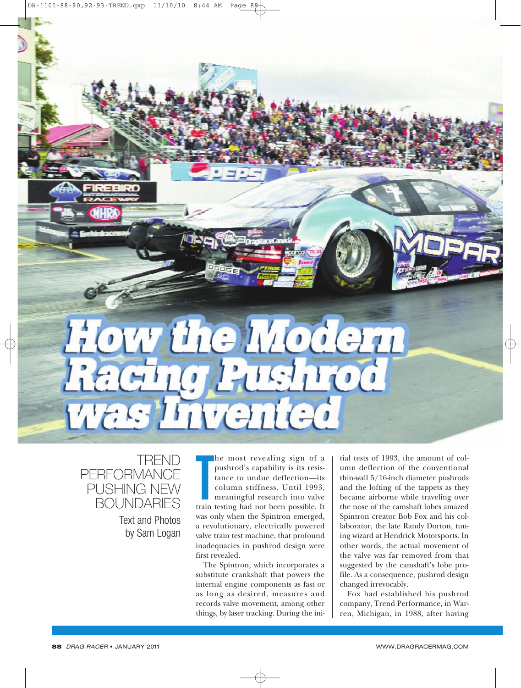

TREND

Text and Photos by Sam Logan

**PERFORMANCE** PUSHING NEW **BOUNDARIES** 

he most revealing sign of a<br>pushrod's capability is its resis-<br>tance to undue deflection—its<br>column stiffness. Until 1993,<br>meaningful research into valve<br>train testing had not been possible. It he most revealing sign of a pushrod's capability is its resistance to undue deflection—its column stiffness. Until 1993, meaningful research into valve was only when the Spintron emerged, a revolutionary, electrically powered valve train test machine, that profound inadequacies in pushrod design were first revealed.

The Spintron, which incorporates a substitute crankshaft that powers the internal engine components as fast or as long as desired, measures and records valve movement, among other things, by laser tracking. During the initial tests of 1993, the amount of column deflection of the conventional thin-wall 5/16-inch diameter pushrods and the lofting of the tappets as they became airborne while traveling over the nose of the camshaft lobes amazed Spintron creator Bob Fox and his collaborator, the late Randy Dorton, tuning wizard at Hendrick Motorsports. In other words, the actual movement of the valve was far removed from that suggested by the camshaft's lobe profile. As a consequence, pushrod design changed irrevocably.

Fox had established his pushrod company, Trend Performance, in Warren, Michigan, in 1988, after having

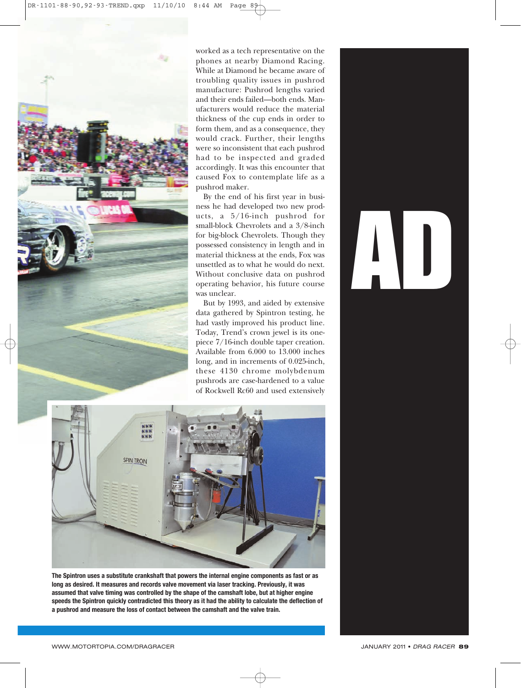

worked as a tech representative on the phones at nearby Diamond Racing. While at Diamond he became aware of troubling quality issues in pushrod manufacture: Pushrod lengths varied and their ends failed—both ends. Manufacturers would reduce the material thickness of the cup ends in order to form them, and as a consequence, they would crack. Further, their lengths were so inconsistent that each pushrod had to be inspected and graded accordingly. It was this encounter that caused Fox to contemplate life as a pushrod maker.

By the end of his first year in business he had developed two new products, a 5/16-inch pushrod for small-block Chevrolets and a 3/8-inch for big-block Chevrolets. Though they possessed consistency in length and in material thickness at the ends, Fox was unsettled as to what he would do next. Without conclusive data on pushrod operating behavior, his future course was unclear.

But by 1993, and aided by extensive data gathered by Spintron testing, he had vastly improved his product line. Today, Trend's crown jewel is its onepiece 7/16-inch double taper creation. Available from 6.000 to 13.000 inches long, and in increments of 0.025-inch, these 4130 chrome molybdenum pushrods are case-hardened to a value of Rockwell Rc60 and used extensively



**The Spintron uses a substitute crankshaft that powers the internal engine components as fast or as long as desired. It measures and records valve movement via laser tracking. Previously, it was assumed that valve timing was controlled by the shape of the camshaft lobe, but at higher engine speeds the Spintron quickly contradicted this theory as it had the ability to calculate the deflection of a pushrod and measure the loss of contact between the camshaft and the valve train.**

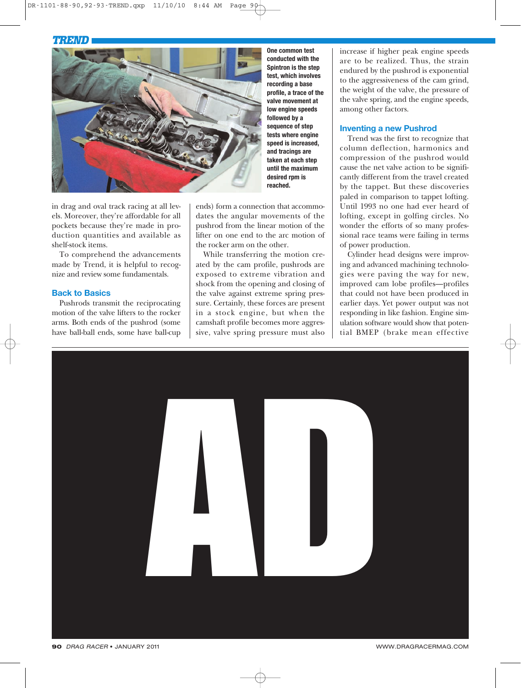## *TREND*



in drag and oval track racing at all levels. Moreover, they're affordable for all pockets because they're made in production quantities and available as shelf-stock items.

To comprehend the advancements made by Trend, it is helpful to recognize and review some fundamentals.

### **Back to Basics**

Pushrods transmit the reciprocating motion of the valve lifters to the rocker arms. Both ends of the pushrod (some have ball-ball ends, some have ball-cup

**One common test conducted with the Spintron is the step test, which involves recording a base profile, a trace of the valve movement at low engine speeds followed by a sequence of step tests where engine speed is increased, and tracings are taken at each step until the maximum desired rpm is reached.**

ends) form a connection that accommodates the angular movements of the pushrod from the linear motion of the lifter on one end to the arc motion of the rocker arm on the other.

While transferring the motion created by the cam profile, pushrods are exposed to extreme vibration and shock from the opening and closing of the valve against extreme spring pressure. Certainly, these forces are present in a stock engine, but when the camshaft profile becomes more aggressive, valve spring pressure must also increase if higher peak engine speeds are to be realized. Thus, the strain endured by the pushrod is exponential to the aggressiveness of the cam grind, the weight of the valve, the pressure of the valve spring, and the engine speeds, among other factors.

#### **Inventing a new Pushrod**

Trend was the first to recognize that column deflection, harmonics and compression of the pushrod would cause the net valve action to be significantly different from the travel created by the tappet. But these discoveries paled in comparison to tappet lofting. Until 1993 no one had ever heard of lofting, except in golfing circles. No wonder the efforts of so many professional race teams were failing in terms of power production.

Cylinder head designs were improving and advanced machining technologies were paving the way for new, improved cam lobe profiles—profiles that could not have been produced in earlier days. Yet power output was not responding in like fashion. Engine simulation software would show that potential BMEP (brake mean effective

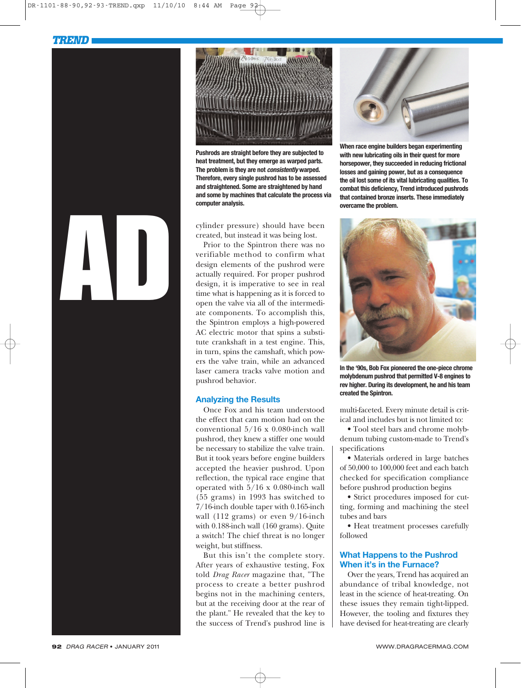



**Pushrods are straight before they are subjected to heat treatment, but they emerge as warped parts. The problem is they are not** *consistently* **warped. Therefore, every single pushrod has to be assessed and straightened. Some are straightened by hand and some by machines that calculate the process via computer analysis.**

cylinder pressure) should have been created, but instead it was being lost.

Prior to the Spintron there was no verifiable method to confirm what design elements of the pushrod were actually required. For proper pushrod design, it is imperative to see in real time what is happening as it is forced to open the valve via all of the intermediate components. To accomplish this, the Spintron employs a high-powered AC electric motor that spins a substitute crankshaft in a test engine. This, in turn, spins the camshaft, which powers the valve train, while an advanced laser camera tracks valve motion and pushrod behavior.

#### **Analyzing the Results**

Once Fox and his team understood the effect that cam motion had on the conventional 5/16 x 0.080-inch wall pushrod, they knew a stiffer one would be necessary to stabilize the valve train. But it took years before engine builders accepted the heavier pushrod. Upon reflection, the typical race engine that operated with 5/16 x 0.080-inch wall (55 grams) in 1993 has switched to 7/16-inch double taper with 0.165-inch wall (112 grams) or even 9/16-inch with 0.188-inch wall (160 grams). Quite a switch! The chief threat is no longer weight, but stiffness.

But this isn't the complete story. After years of exhaustive testing, Fox told *Drag Racer* magazine that, "The process to create a better pushrod begins not in the machining centers, but at the receiving door at the rear of the plant." He revealed that the key to the success of Trend's pushrod line is



**When race engine builders began experimenting with new lubricating oils in their quest for more horsepower, they succeeded in reducing frictional losses and gaining power, but as a consequence the oil lost some of its vital lubricating qualities. To combat this deficiency, Trend introduced pushrods that contained bronze inserts. These immediately overcame the problem.**



**In the '90s, Bob Fox pioneered the one-piece chrome molybdenum pushrod that permitted V-8 engines to rev higher. During its development, he and his team created the Spintron.**

multi-faceted. Every minute detail is critical and includes but is not limited to:

• Tool steel bars and chrome molybdenum tubing custom-made to Trend's specifications

• Materials ordered in large batches of 50,000 to 100,000 feet and each batch checked for specification compliance before pushrod production begins

• Strict procedures imposed for cutting, forming and machining the steel tubes and bars

• Heat treatment processes carefully followed

#### **What Happens to the Pushrod When it's in the Furnace?**

Over the years, Trend has acquired an abundance of tribal knowledge, not least in the science of heat-treating. On these issues they remain tight-lipped. However, the tooling and fixtures they have devised for heat-treating are clearly